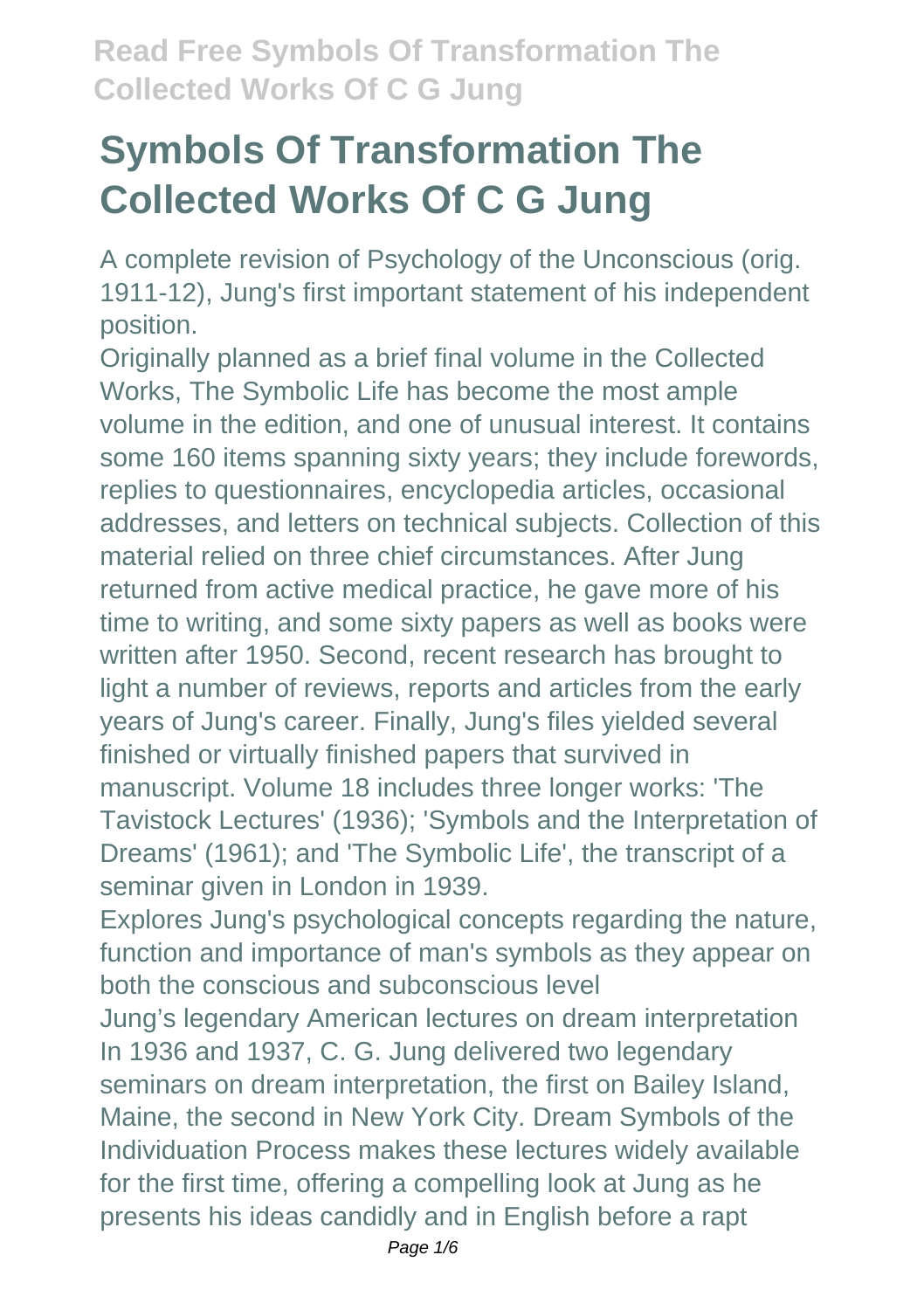A complete revision of Psychology of the Unconscious (orig. 1911-12), Jung's first important statement of his independent position.

Originally planned as a brief final volume in the Collected Works, The Symbolic Life has become the most ample volume in the edition, and one of unusual interest. It contains some 160 items spanning sixty years; they include forewords, replies to questionnaires, encyclopedia articles, occasional addresses, and letters on technical subjects. Collection of this material relied on three chief circumstances. After Jung returned from active medical practice, he gave more of his time to writing, and some sixty papers as well as books were written after 1950. Second, recent research has brought to light a number of reviews, reports and articles from the early years of Jung's career. Finally, Jung's files yielded several finished or virtually finished papers that survived in manuscript. Volume 18 includes three longer works: 'The Tavistock Lectures' (1936); 'Symbols and the Interpretation of Dreams' (1961); and 'The Symbolic Life', the transcript of a seminar given in London in 1939.

Explores Jung's psychological concepts regarding the nature, function and importance of man's symbols as they appear on both the conscious and subconscious level

Jung's legendary American lectures on dream interpretation In 1936 and 1937, C. G. Jung delivered two legendary seminars on dream interpretation, the first on Bailey Island, Maine, the second in New York City. Dream Symbols of the Individuation Process makes these lectures widely available for the first time, offering a compelling look at Jung as he presents his ideas candidly and in English before a rapt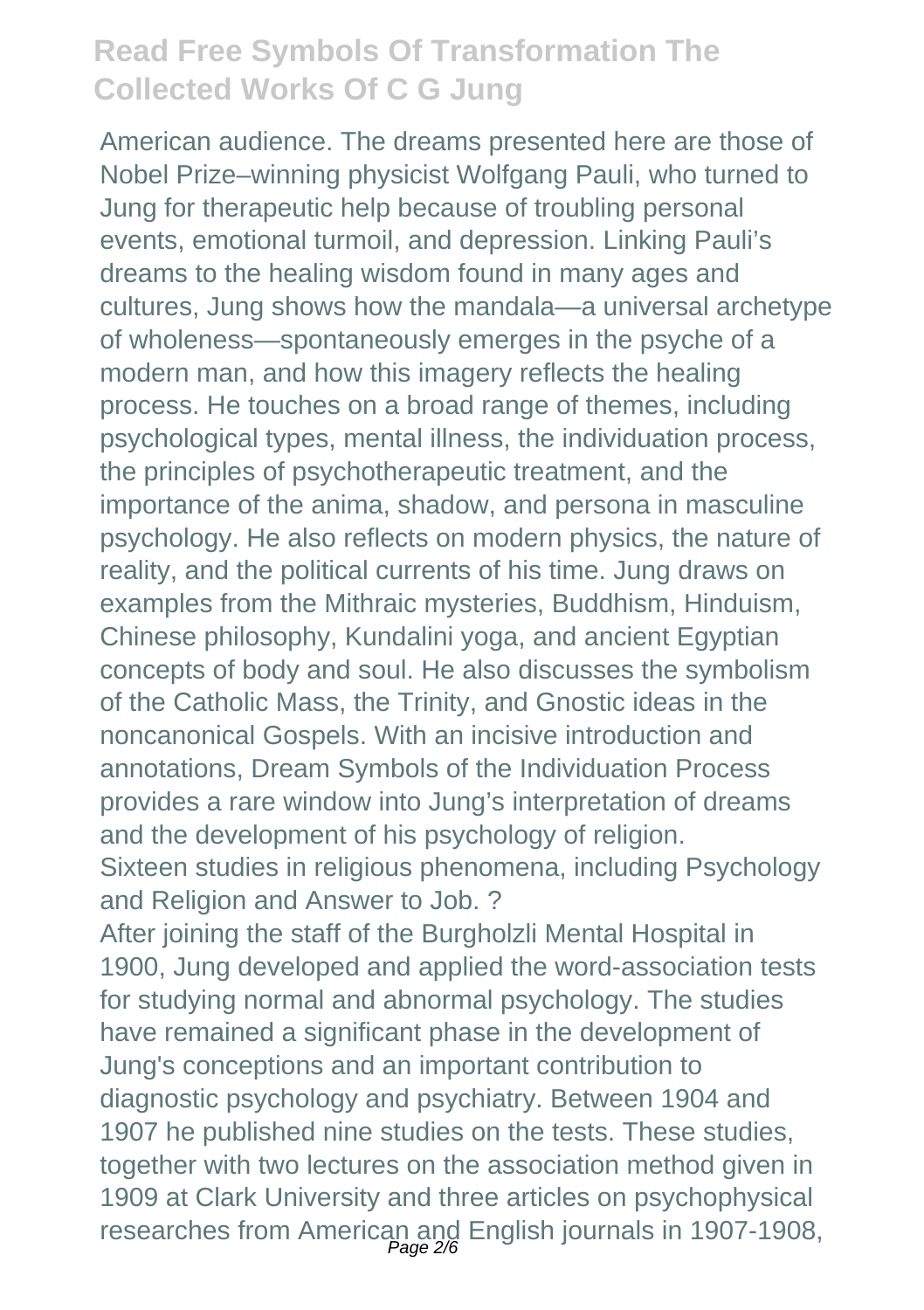American audience. The dreams presented here are those of Nobel Prize–winning physicist Wolfgang Pauli, who turned to Jung for therapeutic help because of troubling personal events, emotional turmoil, and depression. Linking Pauli's dreams to the healing wisdom found in many ages and cultures, Jung shows how the mandala—a universal archetype of wholeness—spontaneously emerges in the psyche of a modern man, and how this imagery reflects the healing process. He touches on a broad range of themes, including psychological types, mental illness, the individuation process, the principles of psychotherapeutic treatment, and the importance of the anima, shadow, and persona in masculine psychology. He also reflects on modern physics, the nature of reality, and the political currents of his time. Jung draws on examples from the Mithraic mysteries, Buddhism, Hinduism, Chinese philosophy, Kundalini yoga, and ancient Egyptian concepts of body and soul. He also discusses the symbolism of the Catholic Mass, the Trinity, and Gnostic ideas in the noncanonical Gospels. With an incisive introduction and annotations, Dream Symbols of the Individuation Process provides a rare window into Jung's interpretation of dreams and the development of his psychology of religion. Sixteen studies in religious phenomena, including Psychology and Religion and Answer to Job. ?

After joining the staff of the Burgholzli Mental Hospital in 1900, Jung developed and applied the word-association tests for studying normal and abnormal psychology. The studies have remained a significant phase in the development of Jung's conceptions and an important contribution to diagnostic psychology and psychiatry. Between 1904 and 1907 he published nine studies on the tests. These studies, together with two lectures on the association method given in 1909 at Clark University and three articles on psychophysical researches from American and English journals in 1907-1908,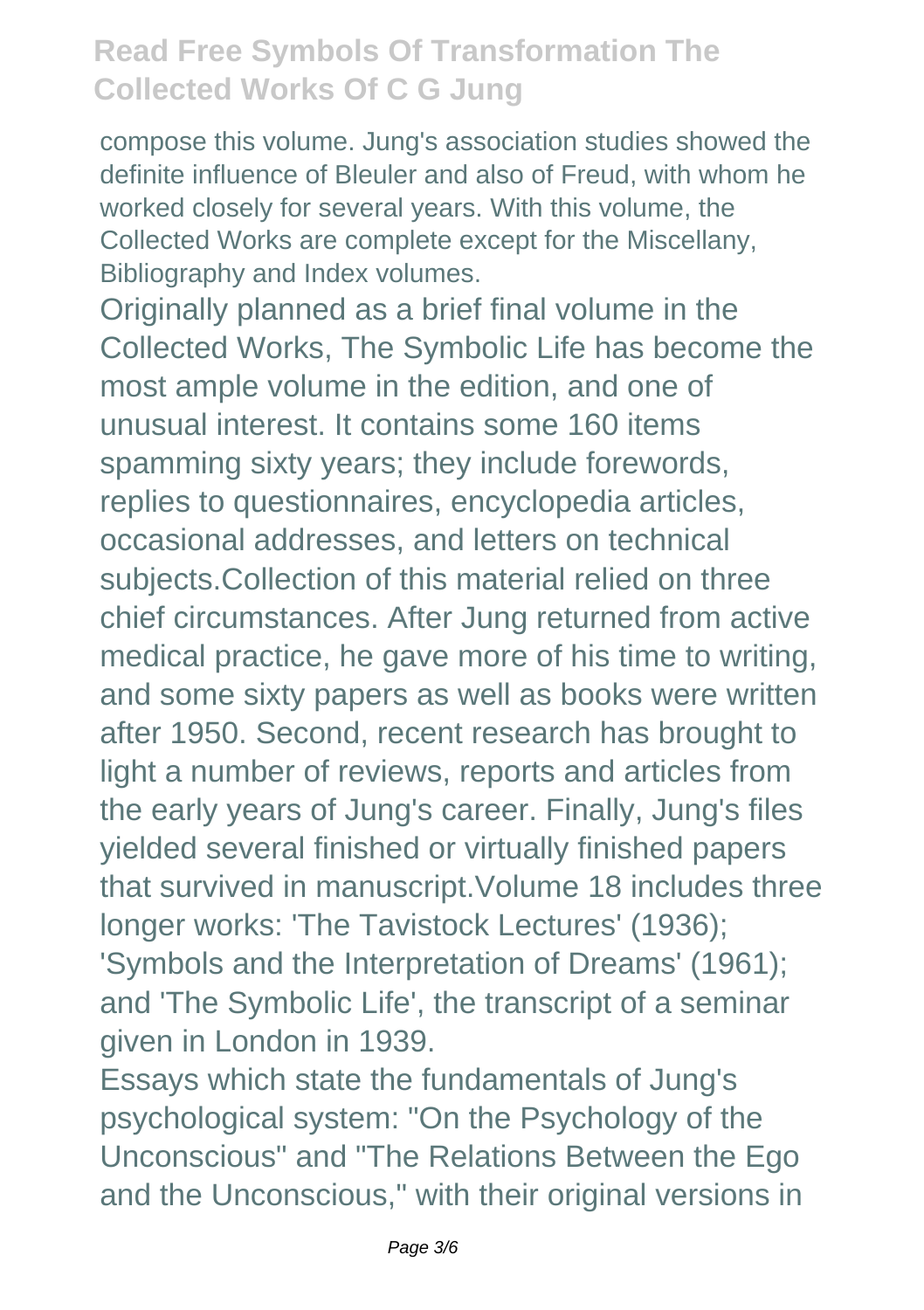compose this volume. Jung's association studies showed the definite influence of Bleuler and also of Freud, with whom he worked closely for several years. With this volume, the Collected Works are complete except for the Miscellany, Bibliography and Index volumes.

Originally planned as a brief final volume in the Collected Works, The Symbolic Life has become the most ample volume in the edition, and one of unusual interest. It contains some 160 items spamming sixty years; they include forewords, replies to questionnaires, encyclopedia articles, occasional addresses, and letters on technical subjects.Collection of this material relied on three chief circumstances. After Jung returned from active medical practice, he gave more of his time to writing, and some sixty papers as well as books were written after 1950. Second, recent research has brought to light a number of reviews, reports and articles from the early years of Jung's career. Finally, Jung's files yielded several finished or virtually finished papers that survived in manuscript.Volume 18 includes three longer works: 'The Tavistock Lectures' (1936); 'Symbols and the Interpretation of Dreams' (1961); and 'The Symbolic Life', the transcript of a seminar given in London in 1939.

Essays which state the fundamentals of Jung's psychological system: "On the Psychology of the Unconscious" and "The Relations Between the Ego and the Unconscious," with their original versions in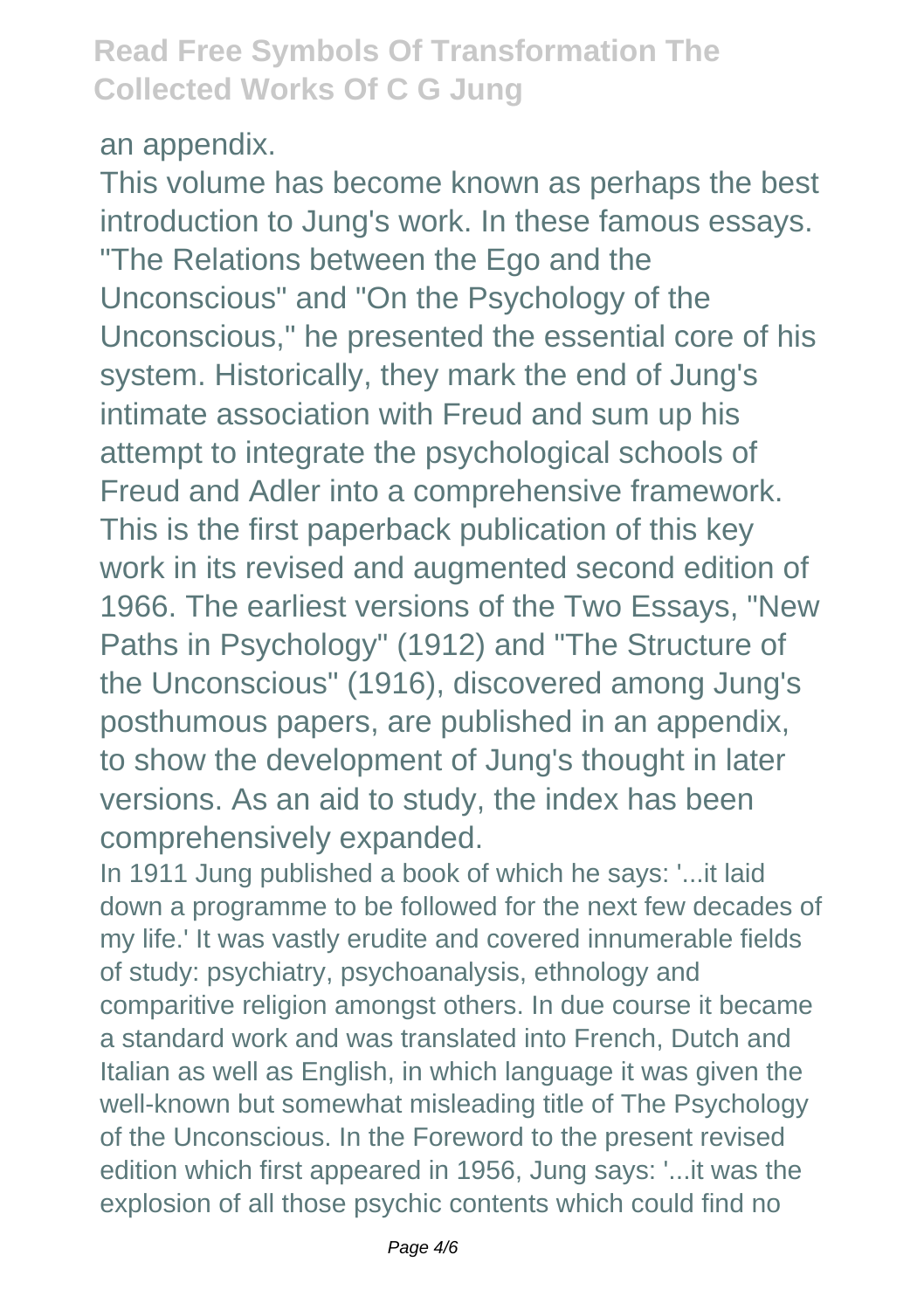#### an appendix.

This volume has become known as perhaps the best introduction to Jung's work. In these famous essays. "The Relations between the Ego and the Unconscious" and "On the Psychology of the Unconscious," he presented the essential core of his system. Historically, they mark the end of Jung's intimate association with Freud and sum up his attempt to integrate the psychological schools of Freud and Adler into a comprehensive framework. This is the first paperback publication of this key work in its revised and augmented second edition of 1966. The earliest versions of the Two Essays, "New Paths in Psychology" (1912) and "The Structure of the Unconscious" (1916), discovered among Jung's posthumous papers, are published in an appendix, to show the development of Jung's thought in later versions. As an aid to study, the index has been comprehensively expanded.

In 1911 Jung published a book of which he says: '...it laid down a programme to be followed for the next few decades of my life.' It was vastly erudite and covered innumerable fields of study: psychiatry, psychoanalysis, ethnology and comparitive religion amongst others. In due course it became a standard work and was translated into French, Dutch and Italian as well as English, in which language it was given the well-known but somewhat misleading title of The Psychology of the Unconscious. In the Foreword to the present revised edition which first appeared in 1956, Jung says: '...it was the explosion of all those psychic contents which could find no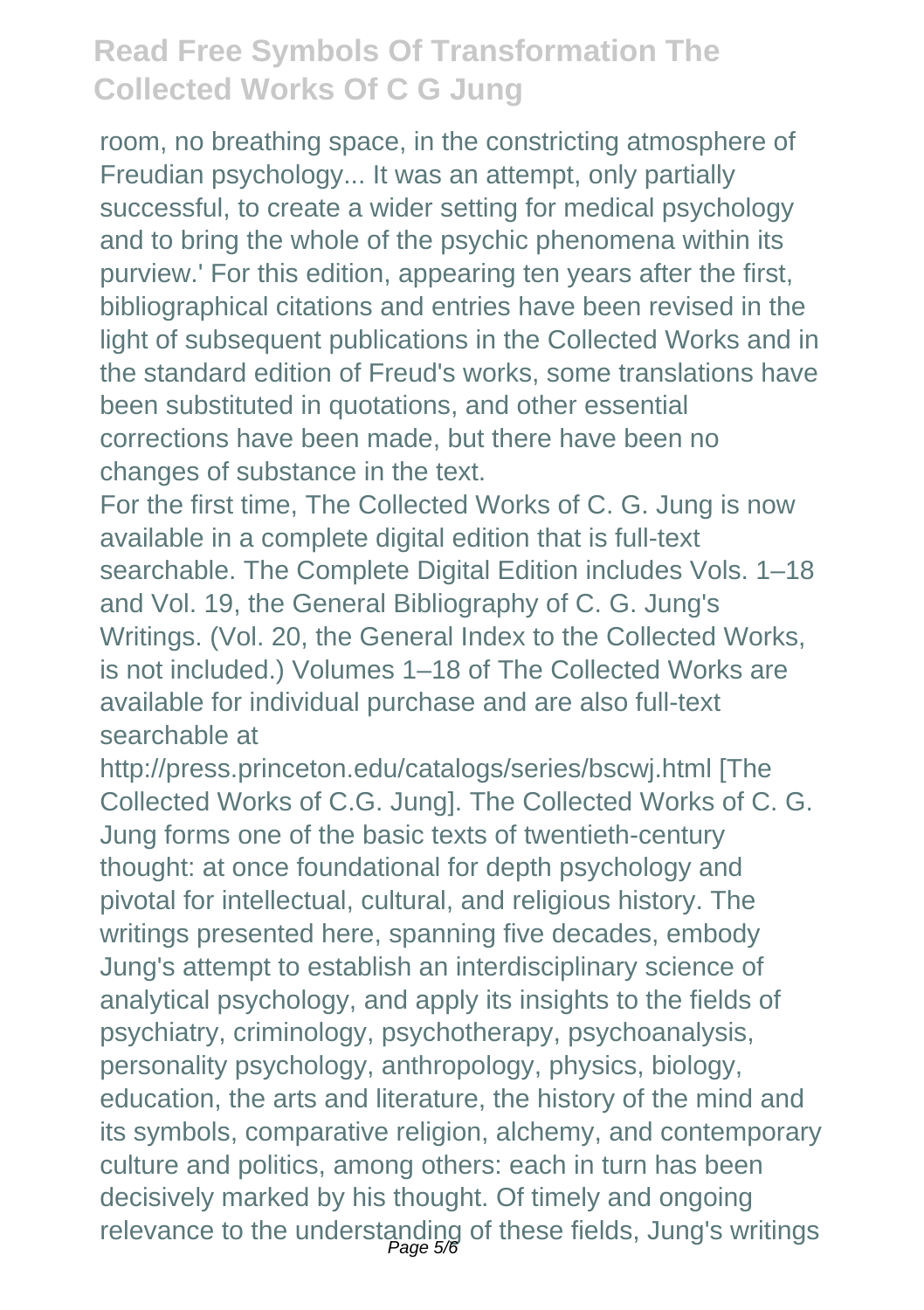room, no breathing space, in the constricting atmosphere of Freudian psychology... It was an attempt, only partially successful, to create a wider setting for medical psychology and to bring the whole of the psychic phenomena within its purview.' For this edition, appearing ten years after the first, bibliographical citations and entries have been revised in the light of subsequent publications in the Collected Works and in the standard edition of Freud's works, some translations have been substituted in quotations, and other essential corrections have been made, but there have been no changes of substance in the text.

For the first time, The Collected Works of C. G. Jung is now available in a complete digital edition that is full-text searchable. The Complete Digital Edition includes Vols. 1–18 and Vol. 19, the General Bibliography of C. G. Jung's Writings. (Vol. 20, the General Index to the Collected Works, is not included.) Volumes 1–18 of The Collected Works are available for individual purchase and are also full-text searchable at

http://press.princeton.edu/catalogs/series/bscwj.html [The Collected Works of C.G. Jung]. The Collected Works of C. G. Jung forms one of the basic texts of twentieth-century thought: at once foundational for depth psychology and pivotal for intellectual, cultural, and religious history. The writings presented here, spanning five decades, embody Jung's attempt to establish an interdisciplinary science of analytical psychology, and apply its insights to the fields of psychiatry, criminology, psychotherapy, psychoanalysis, personality psychology, anthropology, physics, biology, education, the arts and literature, the history of the mind and its symbols, comparative religion, alchemy, and contemporary culture and politics, among others: each in turn has been decisively marked by his thought. Of timely and ongoing relevance to the understanding of these fields, Jung's writings